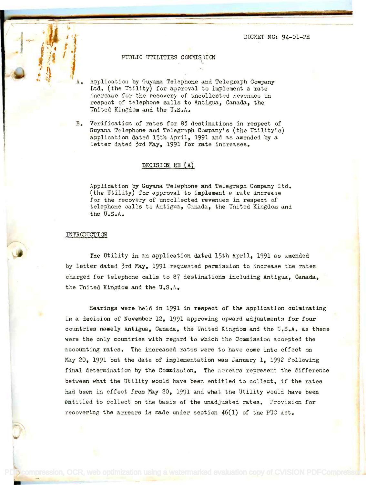DOCKET NO: 94-01-PH

# PUBLIC UTILITIES COMMISEION

 $A_{\bullet}$  Application by Guyana Telephone and Telegraph Company Ltd. (the Utility) for approval to implement a rate increase for the recovery of uncollected revenues in increase for the recovery of uncollected revenues in respect of telephone calls to Antigua, Canada, the respect of telephone calls to Antigua, Canada, the United Kingdom and the U.S.A. United Kingdom and the U.S.A.

~

B. Verification of rates for 83 destinations in respect of B. Verification of rates for 83 destinations in respect of Guyana Telephone and Telegraph Company's (the Utility's) Guyana. Telephone and Telegraph Company's (the Utility's) application dated 15th April, 1991 and as amended by a letter dated 3rd May, 1991 for rate increases. letter dated 3rd May, 1991 for rate increases.

# DECISION RE $(A)$

Application by Guyana Telephone and Telegraph Company Ltd. Application by Guyana. Telephone and Telegraph Company Ltd. (the Utility) for approval to implement a rate increase (the Utility) for approval to implement a rate increase for the recovery of uncollected revenues in respect of for the recovery of uncollected revenues in respect of telephone calls to Antigua, Canada, the United Kingdom and telephone calls to Antigua, Canada, the United Kingdom and the U.S.A. the U.S.A.

#### INTRODUCTION

The Utility in an application dated 15th April, 1991 as amended The Utility in an application dated 15th April, 1991 as amended by letter dated 3rd May, 1991 requested permission to increase the rates by letter dated 3rd May, 1991 requested permission to increase the rates charged for telephone calls to 87 destinations including Antigua, Canada, the United Kingdom and the U.S.A. the United Kingdom and the U.S.A.

Hearings were held in 1991 in respect of the application culminating Hearings were held in 1991 in respect of the application eulminating in a decision of November 12, 1991 approving upward adjustments for four countries namely Antigua, Canada, the United Kingdom and the U.S.A. as these were the only countries with regard to which the Commission accepted the state of  $\sim$ accounting rates. The increased rates were to have come into effect an accounting rates. The increased rates were to have come into effect on May 20, 1991 but the date of implementation was January 1, 1992 following May 20. 1991 but the date of implementation was January 1, 1992 following final determination by the Commission. The arrears represent the difference between what the Utility would have been entitled to collect, if the rates between what the Utility would have been entitled to collect, if the rates had been in effect from May 20, 1991 and what the Utility would have been entitled to collect on the basis of the unadjusted rates. Provision for entitled to collect on the basis of the unadjusted rates. Provision for recovering the arrears is made under section 46(1) of the PUC Act. recovering the arrears is made under section 46(1) of the PUC Act.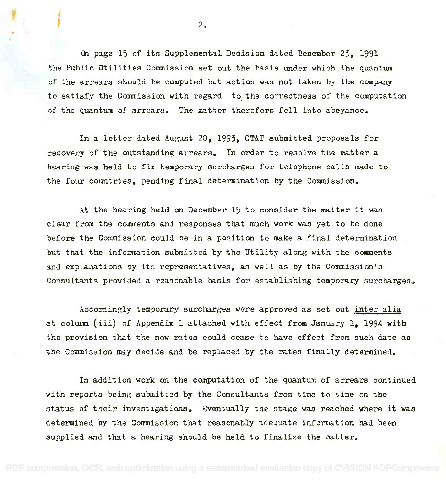On page 15 of its Supplemental Decision dated December 23, 1991 On page 15 of its Supplemental Decision dated December 23, 1991 the Public Utilities Commission set out the basis under which the quantum the Public Utilities Commission set out the basis under which the quantum of the arrears should be computed but action was not taken by the company of the arrears should be cOMputed but action was not taken by the company to satisfy. the Commission with regard to the correctness of the computation to satisfy the Commission with regard to the correctness of the computation of the quantum of arrears. The matter therefore fell into abeyance.

In a letter dated August 20, 1993, GT&T submitted proposals for recovery of the outstanding arrears. In order to resolve the matter a recovery of the outstanding arrears. In order to resolve the matter a hearing was held to fix temporary surcharges for telephone calls made to hearing was held to fix temporary surcharges for telephone calls made to the four countries, pending final determination by the Commission. the four countries, pending final determination by the Commission.

At the hearing held on December 15 to consider the matter it was At the hearing held an December 15 to consider the matter it was clear from the comments and responses that much work was yet to be done clear from the comments and responses that much work was yet to be done before the Commission could be in a position to make a final determination but that the information submitted by the Utility along with the comments and explanations by its representatives, as well as by the Commission's and explanations by its representatives, as well as by the Commission's Consultants provided a reasonable basis for establishing temporary surcharges. Consultants provided a reasonable basis for establishing temporary surcharges.

Accordingly temporary surcharges were approved as set out inter alia Accordingly temporary surcharges were approved as set out inter alia at column (iii) of Appendix 1 attached with effect from January 1, 1994 with at column (iii) of Appendix <sup>1</sup> attached with effect from January **1,** <sup>1994</sup> with the provision that the new rates could cease to have effect from such date as the Commission may decide and be replaced by the rates finally determined. the Commission may decide and be replaced by the rates finally determined.

In addition work on the computation of the quantum of arrears continued In addition work on the computation of the quantum of arrears continued with reports being submitted by the Consultants from time to time on the with reports being submitted by the Consultants from time to time on the status of their investigations. Eventually the stage was reached where it was status of their investigations. Eventually the stage was reached where it was determined by the Commission that reasonably adequate information had been determined by the Commission that reasonably adequate information had been supplied and that a hearing should be held to finalize the matter. supplied and that a hearing should be held to finalize the matter.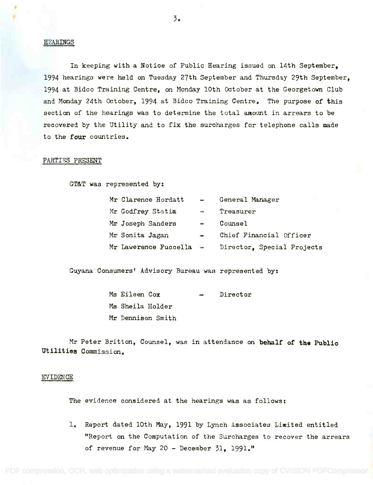#### HEARINGS

In keeping with a Notice of Public Hearing issued on 14th September, In keeping with a Notice of Public Hearing issued on 14th September, 1994 hearings were held on Tuesday 27th September and Thursday 29th September, 1994 at Bidco Training Centre, on Monday 10th October at the Georgetown Club 1994 at Bidco Training Centre, on Monday lOth OCtober at the Georgetown Club and Monday 24th October, 1994 at Bidco Training Centre. The purpose of this and Monday 24th OCtober, 1994 at Bidco Training Centre. The purpose of this section of the hearings was to determine the total amount in arrears to be  $\qquad \qquad \blacksquare$ recovered by the Utility and to fix the surcharges for telephone calls made recovered by the utility and to fix the surcharges for telephone calls made to the four countries. to the four countries.

#### PARTIES PRESENT

GT&T was represented by:

| Mr Clarence Hordatt     | $\sim$        | General Manager            |
|-------------------------|---------------|----------------------------|
| Mr Godfrey Statia       | win.          | Treasurer                  |
| Mr Joseph Sanders       | $\frac{1}{2}$ | Counsel                    |
| Mr Sonita Jagan         | $\bullet$     | Chief Financial Officer    |
| Mr Lawerence Fuccella - |               | Director, Special Projects |

Guyana Consumers' Advisory Bureau was represented by:

| Ms Eileen Cox    |                   | $-$ | Director |
|------------------|-------------------|-----|----------|
| Ms Sheila Holder |                   |     |          |
|                  | Mr Dennison Smith |     |          |

Mr Peter Britton, Counsel, was in attendance on behalf of the Public Mr Peter Britton, Counsel, was in attendance on behalf of **the** Publio Utilities Commission. utilitiee Commission.

#### EVIDENCE

The evidence considered at the hearings was as follows;

1. Report dated 10th May, 1991 by Lynch Associates Limited entitled 1. Report dated lOth May, 1991 by Lynch Associates Limited entitled "Report on the Computation of the Surcharges to recover the arrears "Report on the Computation of the Surcharges to recover the arrears of revenue for May 20 - December 31, 1991." of revenue for May 20 - December 31, 1991."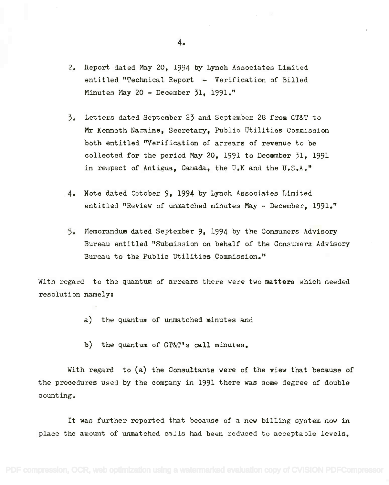- 2. Report dated May 20, 1994 by Lynch Associates Limited 2. Report dated May 20, 1994 by Lynch Associates Limited entitled "Technical Report - Verification of Billed entitled "Technical Report - Verification of Billed Minutes May 20 - December 31, 1991." Minutes May 20 - December 31, 1991."
- 3. Letters dated September 23 and September 28 from GT&T to 3. Letters dated September 23 and September 28 from GT&T to Mr Kenneth Naraine, Secretary, Public Utilities Commission Mr Kenneth Naraine, Secretary, Public Utilities Commission both entitled "Verification of arrears of revenue to be both entitled "Verification of arrears of revenue to be collected for the period May 20, 1991 to December 31, 1991 collected for the period May 20, 1991 to December 31, 1991 in respect of Antigua, Canada, the U.K and the U.S.A." in respect of Antigua, Canada, the U.K and the U.S.A."
- 4. Note dated October 9, 1994 by Lynch Associates Limited 4. Note dated October 9, 1994 by Lynch Associates Limited entitled "Review of unmatched minutes May - December, 1991." entitled "Review of unmatched minutes May - December, 1991."
- 5. Memorandum dated September 9, 1994 by the Consumers Advisory 5. Memorandum dated September 9, 1994 by the Consumers Advisory Bureau entitled "Submission on behalf of the Consumers Advisory Bureau entitled "Submission on behalf of the Conswners Advisory Bureau to the Public Utilities Commission." Bureau to the Public Utilities Commission."

With regard to the quantum of arrears there were two matters which needed With regard to the quantum of arrears there were two matters which needed resolution namely: resolution namely:

- a) the quantum of unmatched minutes and
- b) the quantum of GT&T's call minutes.

With regard to (a) the Consultants were of the view that because of With regard to (a) the Consultants were of the view that because of the procedures used by the company in 1991 there was some degree of double the procedures used by the company in 1991 there was some degree of double counting. counting.

It was further reported that because of a new billing system now in It was further reported that because of a new billing system now in place the amount of unmatched calls had been reduced to acceptable levels. place the amount of unmatched calls had been reduced to acceptable levels.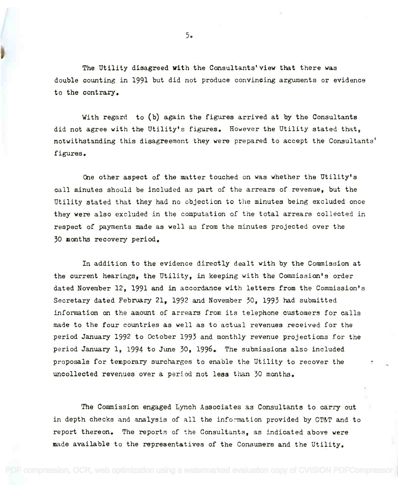The Utility disagreed with the Consultants' view that there was The Utility disagreed with the Consultants'view that there was double counting in 1991 but did not produce convincing arguments or evidence to the contrary. to the contrary.

With regard to (b) again the figures arrived at by the Consultants With regard to (b) again the figures arrived at by the Consultants did not agree with the Utility's figures. However the Utility stated that, did not agree with the Utility's figures. However the Utility stated that, notwithstanding this disagreement they were prepared to accept the Consultants' notwithstanding this disagreement they were prepared to accept the Consultants' figures. figures.

One other aspect of the matter touched on was whether the Utility's One other aspect of the matter touched on Was whether the Utility's call minutes should be included as part of the arrears of revenue, but the call minutes should be included as part of the arrears of revenue, but the Utility stated that they had no objection to the minutes being excluded once they were also excluded in the computation of the total arrears collected in they were also excluded in the computation of the total arrears collected in respect of payments made as well as from the minutes projected over the respect of payments made as well as from the minutes projected over the 30 months recovery period. 30 months recovery period.

In addition to the evidence directly dealt with by the Commission at In addition to the evidence directly dealt with by the Commission at the current hearings, the Utility, in keeping with the Commission's order the current hearings, the Utility, in keeping with the Commission's order dated November 12, 1991 and in accordance with letters from the Commission's dated November 12, 1991 and in accordance with letters from the Commission's Secretary dated February 21, 1992 and November 30, 1993 had submitted Secretary dated February 21, 1992 and November 30, 1993 had submitted information an the amount of arrears from its telephone customers for calls information on the amount of arrears from its telephone customers for calls made to the four countries as well as to actual revenues received for the made to the four countries as well as to actual revenues received for the period January 1992 to October 1993 and monthly revenue projections for the period January 1992 to OCtober 1993 and monthly revenue projections for the period January 1, 1994 to June 30, 1996. The submissions also included proposals for temporary surcharges to enable the Utility to recover the  $\qquad$ uncollected revenues over a period not less than 30 months. uncollected revenues over a period not less than 30 months.

The Commission engaged Lynch Associates as Consultants to carry out The Commission engaged Lynch Associates as Consultants to carry out in depth checks and analysis of all the information provided by GT&T and to report thereon. The reports of the Consultants, as indicated above were made available to the representatives of the Consumers and the Utility.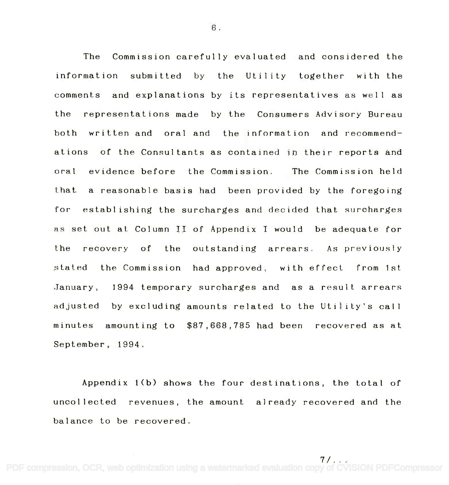The Commission carefully evaluated and considered the The Commission carefully evaluated and considered the information submitted by the Utility together with the information submitted by the Utility together with the comments and explanations by its representatives as well as the representations made by the Consumers Advisory Bureau the representations made by the Consumers Advisory Bureau both written and oral and the information and recommend-both written and oral and the information and recommendations of the Consultants as contained in their reports and ations of the Consultants as contained in their reports and oral evidence before the Commission. The Commission held that a reasonable basis had been provided by the foregoing that a reasonable basis had been provided by the foregoing for establishing the surcharges and decided that surcharges for establishing the surcharges and decided that surcharges as set out at Column II of Appendix I would be adequate for as set out at Column II of Appendix I would be adequate for the recovery of the outstanding arrears. As previously the recovery of the outstanding arrears. As previously stated the Commission had approved, with effect from 1st. January, 1994 temporary surcharges and as a result arrears January, 1994 temporary surcharges and as a result arrears adjusted by excluding amounts related to the Utility's call adjusted by excluding amounts related to the Util ity's call minutes amounting to \$87,668,785 had been recovered as at minutes amounting to \$87,668,785 had been recovered as at September, 1994. September, 1994.

Appendix 1(b) shows the four destinations, the total of Appendix 1(b) shows the four destinations, the total of uncollected revenues, the amount already recovered and the uncollected revenues, the amount already recovered and the balance to be recovered. balance to be recovered.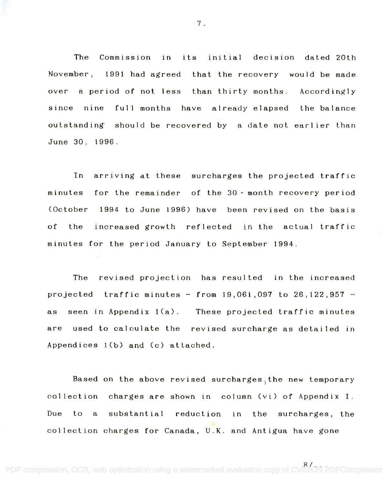The Commission in its initial decision dated 20th November, 1991 had agreed that the recovery would be made over a period of not less than thirty months. Accordingly over a period of not less than thirty months. Accordingly since nine full months have already elapsed the balance since nine full months have already elapsed the balance outstanding should be recovered by a date not earlier than outstanding should be recovered by a date not earl ier than June 30, 1996. June 30, 1996.

In arriving at these surcharges the projected traffic In arriving at these surcharges the projected traffic minutes for the remainder of the 30- month recovery period minutes for the remainder of the 30, month recovery period (October 1994 to June 1996) have been revised on the basis of the increased growth reflected in the actual traffic of the increased growth reflected in the actual traffic minutes for the period January to September 1994. minutes for the period January to September 1994.

The revised projection has resulted in the increased projected traffic minutes from 19,061,097 to 26,122,957 projected traffic minutes - from 19,061,097 to 26,122,957 as seen in Appendix 1(a). These projected traffic minutes as seen in Appendix l(a). These projected traffic minutes are used to calculate the revised surcharge as detailed in are used to calculate the revised surcharge as detailed jn Appendices 1(b) and (c) attached. Appendices l(b) and (c) attached.

Based on the above revised surcharges the new temporary Based on the above revised surcharges)the new temporary collection charges are shown in column (vi) of Appendix I. collection charges are shown in column (vi) of Appendix I. Due to a substantial reduction in the surcharges, the collection charges for Canada, U.K. and Antigua have gone

[PDF compression, OCR, web optimization using a watermarked evaluation copy of CVISION PDFCompressor](http://www.cvisiontech.com)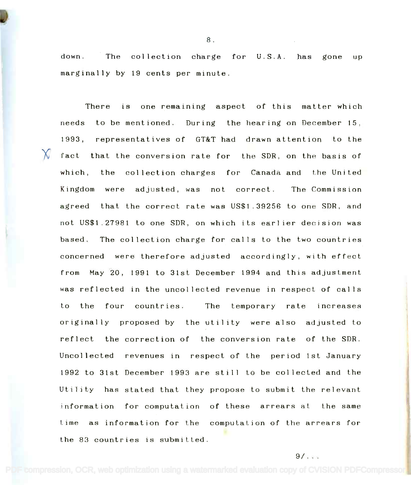down. The collection charge for U.S.A. has gone up down. The collection charge for U.S.A. marginally by 19 cents per minute. marginally by 19 cents per minute.

There is one remaining aspect of this matter which needs to be mentioned. During the hearing on December 15, 1993, representatives of GT&T had drawn attention to the  $\cal N$  fact that the conversion rate for the SDR, on the basis of which, the collection charges for Canada and the United which, the collection charges for Canada and the United Kingdom were adjusted, was not correct. The Commission Kingdom were adjusted, was not correct. The Commission agreed that the correct rate was US\$1.39256 to one SDR, and agreed that the correct rate was US\$1.39256 to one SDR, and not US\$1.27981 to one SDR, on which its earlier decision was not US\$1.27981 to one SDR, on which its earl ier decision was based. The collection charge for calls to the two countries based. The collection charge for calls to the two countries concerned were therefore adjusted accordingly, with effect concerned were therefore adjusted accordingly, with effect from May 20, 1991 to 31st December 1994 and this adjustment was reflected in the uncollected revenue in respect of calls was reflected in the uncollected revenue in respect of calls to the four countries. The temporary rate increases originally proposed by the utility were also adjusted to reflect the correction of the conversion rate of the SDR. Uncollected revenues in respect of the period 1st January Uncollected revenues in respect of the period 1st January 1992 to 31st December 1993 are still to be collected and the 1992 to 31st December 1993 are still to be collected and the Utility has stated that they propose to submit the relevant Utility has stated that they propose to submit the relevant information for computation of these arrears at the same information for computation of these arrears at the same Lime as information for the computation of the arrears for time as information for the computation of the arrears for the 83 countries is submitted. the 83 countries is submitted.

8.

 $9/$ . . .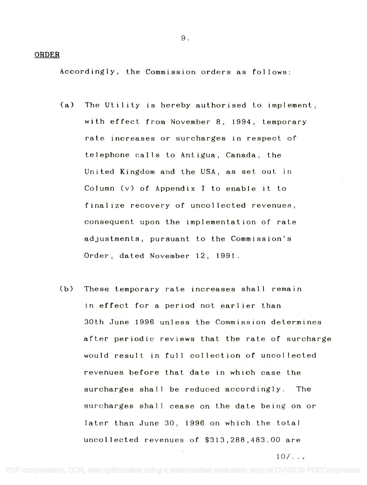#### ORDER

Accordingly, the Commission orders as follows:

- (a) The Utility is hereby authorised to implement, (a) The Utility is hereby authorised to implement, with effect from November 8, 1994, temporary with effect from November 8, 1994, temporary rate increases or surcharges in respect of rate increases or surcharges in respect of telephone calls to Antigua, Canada, the telephone calls to Antigua, Canada, the United Kingdom and the USA, as set out, in United Kingdom and the USA, as set out in Column (v) of Appendix I to enable it to Column (v) of Appendix I to enable it to finalize recovery of uncollected revenues, finalize recovery of uncollected revenues, consequent upon the implementation of rate consequent upon the implementation of rate adjustments, pursuant to the Commission's adjustments, pursuant to the Commission's Order, dated November 12, 1991. .Order, da ted November 12, 1991.
- (b) These temporary rate increases shall remain Cb) These temporary rate increases shall remain in effect for a period not earlier than in effect for a period not earlier than 30th June 1996 unless the Commission determines 30th June 1996 unless the Commission determines after periodic reviews that the rate of surcharge after periodic reviews that the rate of surcharge would result in full collection of uncollected would result in full collection of uncollected revenues before that date in which case the revenues before that date in which case the surcharges shall be reduced accordingly. The surcharges shall be reduced accordingly. The surcharges shall cease on the date being on or surcharges shall cease on the date being on or later than June 30, 1996 on which the total later than June 30, 1996 on which the total uncollected revenues of \$313,288,483.00 are uncollected revenues of \$313,288,483.00 are

10/... 10/ ...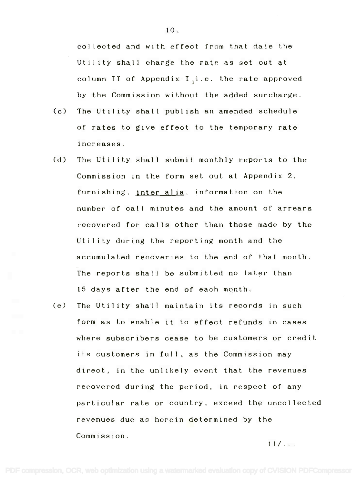collected and with effect from that date the collected and with effect from that date the Utility shall charge the rate as set out at Utility shall charge the rate as set out at column II of Appendix I $_\mathrm{s}$ i.e. the rate approved by the Commission without the added surcharge. by the Commission without the added surcharge.

- (c) The Utility shall publish an amended schedule of rates to give effect to the temporary rate of rates to give effect to the temporary rate increases. increases.
- (d) The Utility shall submit monthly reports to the (d) The Utility shall submit monthly reports to the Commission in the form set out at Appendix 2, Commission in the form set out at Appendix 2, furnishing, <u>inter alia</u>, information on the number of call minutes and the amount of arrears number of call minutes and the amount of arrears recovered for calls other than those made by the recovered for calls other than those made by the Utility during the reporting month and the Utility during the reporting month and the accumulated recoveries to the end of that month. accumulated recoveries to the end of that month. The reports shall be submitted no later than The reports shall be submitted no later than 15 days after the end of each month. 15 days after the end of each month.
- (e) The Utility shall maintain its records in such form as to enable it to effect refunds in cases form as to enable it to effect refunds 1n cases where subscribers cease to be customers or credit where subscribers cease to be customers or credit its customers in full, as the Commission may its customers in full, as the Commission may direct, in the unlikely event that the revenues direct, in the unlikely event that the revenues recovered during the period, in respect of any recovered during the period, in respect of any particular rate or country, exceed the uncollected particular rate or country, exceed the uncollected revenues due as herein determined by the revenues due as herein determined by the Commission. Commission.

 $11/...$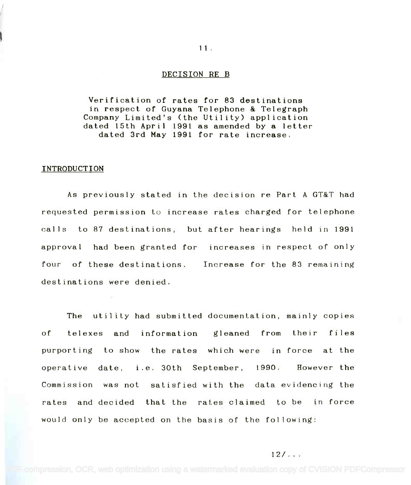#### DECISION RE B

 $11.$ 

Verification of rates for 83 destinations Verification of rates for 83 destinations in respect of Guyana Telephone & Telegraph in respect of Guyana Telephone & Telegraph Company Limited's (the Utility) application Company Limited's (the Utility) application dated 15th April 1991 as amended by a letter dated 15th April 1991 as amended by a letter dated 3rd May 1991 for rate increase. dated 3rd May 1991 for rate increase.

#### INTRODUCTION

As previously stated in the decision re Part A GT&T had requested permission to increase rates charged for telephone calls to 87 destinations, but after hearings held in 1991 approval had been granted for increases in respect of only four of these destinations. Increase for the 83 remaining destinations were denied.

The utility had submitted documentation, mainly copies of telexes and information gleaned from their files purporting to show the rates which were in force at the operative date, i.e. 30th September, 1990. However the Commission was not satisfied with the data evidencing the rates and decided that the rates claimed to be in force would only be accepted on the basis of the following:

#### $12/...$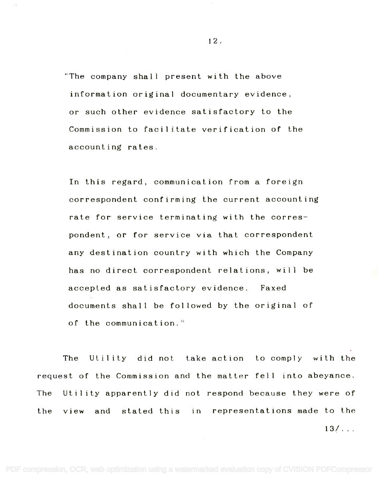The company shall present with the above "The company shall present with the above information original documentary evidence, information original documentary evidence, or such other evidence satisfactory to the or such other evidence satisfactory to the Commission to facilitate verification of the Commission to facilitate verification of the accounting rates. accounting rates.

In this regard, communication from a foreign In this regard, communication from a foreign correspondent confirming the current accounting correspondent confirming the current accounting rate for service terminating with the correspondent, or for service via that correspondent pondent, or for service via that correspondent any destination country with which the Company any destination country with which the Company has no direct correspondent relations, will he has no direct correspondent relations, will be accepted as satisfactory evidence. Faxed documents shall be followed by the original of documents shall be fol lowed by the original of of the communication. of the communication."

The Utility did not take action to comply with the request of the Commission and the matter fell into abeyance. request of the Commission and the matter fell into abeyance. The Utility apparently did not respond because they were of The Utility apparently did not respond because they were of the view and stated this in representations made to the  $13/100$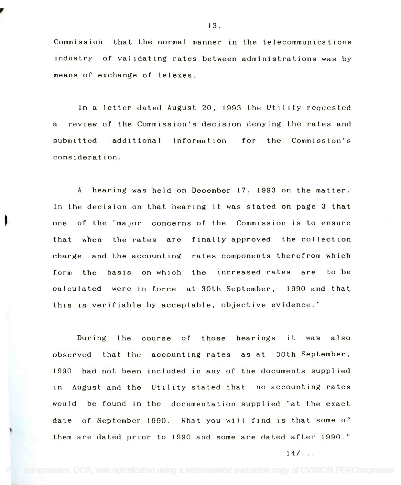Commission that the normal manner in the telecommunications Commission that the normal manner in the telecommunications industry of validating rates between administrations was by industry of validating rates between administrations was by means of exchange of telexes. means of exchange of telexes.

In a letter dated August 20, 1993 the Utility requested In a letter dated August 20, 1993 the Utility requested a review of the Commission's decision denying the rates and a reviewof the Commission's decision denying the rates and submitted additional information for the Commission's consideration.

A hearing was held on December 17, 1993 on the matter. A hearing was held on December 17, 1993 on the matter. In the decision on that hearing it was stated on page 3 that In the decision on that hearing it was stated on page 3 that one of the "major concerns of the Commission is to ensure one of the "major concerns of the Commission is to ensure that when the rates are finally approved the collection that when the rates are finally approved the collection charge and the accounting rates components therefrom which charge and "the accounting rates components therefrom which form the basis on which the increased rates are to be calculated were in force at 30th September, 1990 and that this is verifiable by acceptable, objective evidence."

the course of those hearings it was also observed that the accounting rates as at 30th September, observed that the 1990 had not been included in any of the documents supplied 1990 had not been included in any of the documents supplied in August and the Utility stated that no accounting rates in August and the Utility stated that no accounting rates would be found in the documentation supplied "at the exact would be found in the documentation supplied "at the exact date of September 1990. What you will find is that some of them are dated prior to 1990 and some are dated after 1990. $^{\circ\circ}$ During

14/... 14/ ...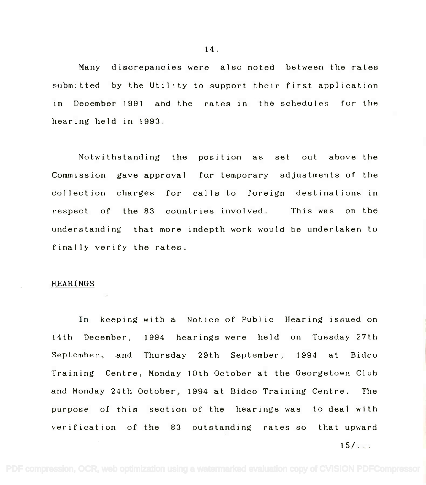Many discrepancies were also noted between the rates Many discrepancies were also noted between the rates submitted by the Utility to support their first application submitted by the Utility to support their first application in December 1991 and the rates in the schedules for the hearing held in 1993. hearing held in 1993.

Notwithstanding the position as set out above the Commission gave approval for temporary adjustments of the Commission gave approval for temporary adjustments of the collection charges for calls to foreign destinations in collection charges for cal Is to foreign destinations in respect of the 83 countries involved. This was on the understanding that more indepth work would be undertaken to finally verify the rates.

#### HEARINGS

In keeping with a Notice of Public Hearing issued on 14th December, 1994 hearings were held on Tuesday 27th September, and Thursday 29th September, 1994 at Bidco September, and Thursday 29th September, 1994 at Bidco Training Centre, Monday 10th October at the Georgetown Club Training Centre, Monday 10th October at the Georgetown Club and Monday 24th October, 1994 at Bidco Training Centre. The and Monday 24th October, 1994 at Bidco Training Centre. The purpose of this section of the hearings was to deal with purpose of this section of the hearings was to deal with verification of the 83 outstanding rates so that upward

15/... 15/ ...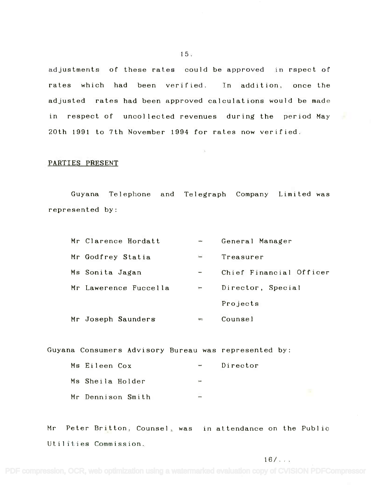adjustments of these rates could be approved in rspect of rates which had been verified. In addition, once the adjusted rates had been approved calculations would be made adjusted rates had been approved calculations would be made in respect of uncollected revenues during the period May in respect of uncollected revenues during the period May 20th 1991 to 7th November 1994 for rates now verified. 20th 1991 to 7th November 1994 for rates now verified.

 $\sim 100$ 

# PARTIES PRESENT

Guyana Telephone and Telegraph Company Limited was Guyana Telephone and Telegraph Company Limited was represented by: represented by:

| Mr Clarence Hordatt   |                          | General Manager         |
|-----------------------|--------------------------|-------------------------|
| Mr Godfrey Statia     |                          | Treasurer               |
| Ms Sonita Jagan       | $\overline{\phantom{a}}$ | Chief Financial Officer |
| Mr Lawerence Fuccella | Ţ                        | Director, Special       |
|                       |                          | Projects                |
| Mr Joseph Saunders    | وسيغ                     | Counsel                 |

Guyana Consumers Advisory Bureau was represented by:

| Ms Eileen Cox     | $\equiv$                 | Director |
|-------------------|--------------------------|----------|
| Ms Sheila Holder  | <b>START</b>             |          |
| Mr Dennison Smith | $\overline{\phantom{a}}$ |          |

Mr Peter Britton, Counsel, was in attendance on the Public **Mr** Peter Britton, Counsel, was Utilities Commission. Utilities Commission.

15.

 $16/...$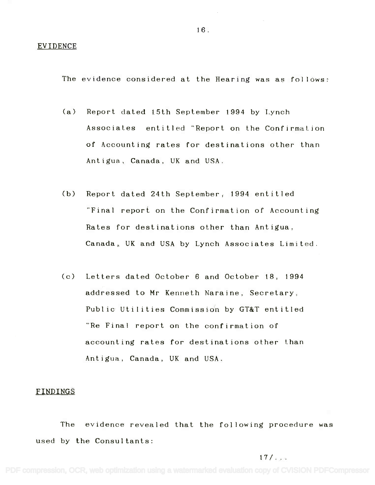#### EVIDENCE

The evidence considered at the Hearing was as follows:

- (a) Report dated 15th September 1994 by Lynch (a) Reportdated 15th September 1994 by Lynch Associates entitled "Report on the Confirmation Associates entitled"Report on the Confirmation of Accounting rates for destinations other than of Accounting rates for destinations other than Antigua, Canada, UK and USA. Antigua, Canada, UK and USA.
- (b) Report dated 24th September, 1994 entitled (b) Reportdated 24th September, 1994 entitled "Final report on the Confirmation of Accounting "Final report on the Confirmation of Accounting Rates for destinations other than Antigua, Rates for destinations other than Antigua, Canada, UK and USA by Lynch Associates Limited. Canada, UK and USA by Lynch Associates Limited.
- (c) Letters dated October 6 and October 18, 1994 (c) Letters dated October 6 and October 18, 1994 addressed to Mr Kenneth Naraine, Secretary, addressed to **Mr** Kenneth Naraine, Secretary, Public Utilities Commission by GT&T entitled Public Utilities Commissidn by GT&T entitled "Re Final report on the confirmation of "Re Final report on the confirmation of accounting rates for destinations other than accounting rates for destinations other than Antigua, Canada, UK and USA. Antigua, Canada, UK and USA.

#### FINDINGS

The evidence revealed that the following procedure was The evidence revealed that the following procedure was used by the Consultants: used by the Consultants:

17/...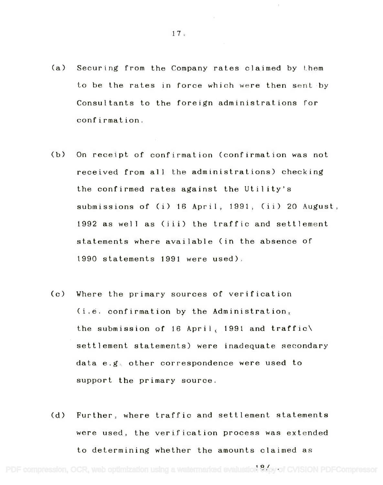- (a) Securing from the Company rates claimed by them (a) Securing from the Company rates claimed by them to be the rates in force which were then sent by to be the rates in force which were then sent by Consultants to the foreign administrations for Consultants to the foreign administrations for confirmation. confirmation.
- (b) On receipt of confirmation (confirmation was not (b) On receipt of confirmation (confirmation was not received from all the administrations) checking received from all the administrations) checking the confirmed rates against the Utility's the confirmed rates against the Utility's submissions of (i) 1.6 April, 1991, (ii) 20 August, submissions of (i) 16 April, 1991, (ii) 20 August, 1992 as well as (iii) the traffic and settlement 1992 as well as (iii) the traffic and settlement statements where available (in the absence of statements where available (in the absence of 1990 statements 1991 were used). 1990 statements 1991 were used).
- (c) Where the primary sources of verification (c) Where the primary sources of verification (i.e. confirmation by the Administration, the submission of 16 April<sub>(</sub> 1991 and traffic\ settlement statements) were inadequate secondary settlement statements) were inadequate secondary data e.g. other correspondence were used to data e.g. other correspondence were used to support the primary source. support the primary source.
- (d) Further, where traffic and settlement statements (d) Further, where traffic and settlement statements were used, the verification process was extended were used, the verification process was extended to determining whether the amounts claimed as to determining whether the amounts claimed as

PDF compression, OCR, web optimization using a watermarked evaluation 8xpy of CVISION PDFCompressor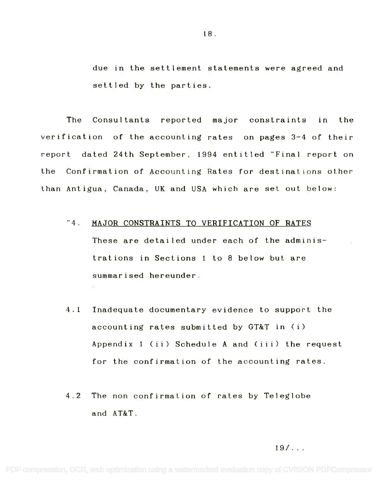due in the settlement statements were agreed and due in the settlement statements were agreed and settled by the parties. settled by the parties.

The Consultants reported major constraints in the The Consultants reported major constraints in the verification of the accounting rates on pages 3-4 of their verification of the accounting rates on pages 3-4 of their report dated 24th September, 1994 entitled "Final report on report dated 24th September, 1994 entitled "Final report on the Confirmation of Accounting Rates for destinations other the Confirmation of Accounting Rates for destinations other than Antigua, Canada, UK and USA which are set out below: than Antigua, Canada, UK and USA which are set out below:

# "4. MAJOR CONSTRAINTS TO VERIFICATION OF RATES These are detailed under each of the adminis-These are detailed under each of the administrations in Sections <sup>1</sup> to 8 below but are trations in Sections 1 to 8 below but are summarised hereunder. summarised hereunder.

- 4.1 Inadequate documentary evidence to support the 4.1 Inadequate documentary evidence to support the accounting rates submitted by GT&T in (i) accounting rates submitted by GT&T in (i) Appendix <sup>1</sup> (ii) Schedule A and (iii) the request Appendix 1 (ii) Schedule A and (iii) the request for the confirmation of the accounting rates. for the confirmation of the accounting rates.
- 4.2 The non confirmation of rates by Teleglobe 4.2 The non confirmation of rates by Teleglobe and AT&T. and AT&T.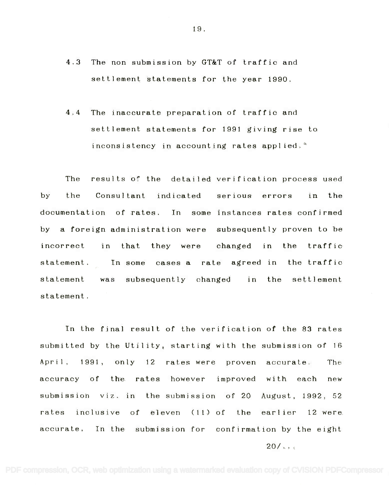- 4.3 The non submission by GT&T of traffic and 4.3 The non submission by GT&T of traffic and settlement statements for the year 1990. settlement statements for the year 1990.
- 4.4 The inaccurate preparation of traffic and 4.4 The inaccurate preparation of traffic and settlement statements for 1991 giving rise to settlement statements for 1991 giving rise to inconsistency in accounting rates applied,  $``$

results of the detailed verification process used by the Consultant indicated serious errors in the documentation of rates. In some instances rates confirmed by a foreign administration were subsequently proven to he by a foreign administration were subsequently proven to be incorrect in that they were changed in the traffic incorrect in that they were changed in the traffic statement. In some cases a rate agreed in the traffic statement. In some cases a rate agreed in the traffic was subsequently changed in the settlement statement. statement. The the statement

In the final result of the verification of the 83 rates In the final result of the verification of the 83 rates submitted by the Utility, starting with the submission of 16 submitted by the Utility, starting with the submission of 16 April, 1991, only 12 rates were proven accurate. The accuracy of the rates however improved with each new submission viz. in the submission of 20 August, 1992, 52 rates inclusive of eleven (11) of the earlier 12 were accurate, In the submission for confirmation by the eight

 $20/$  ...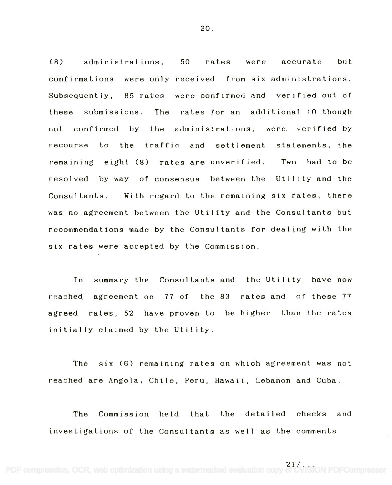(8) administrations, 50 rates were accurate but confirmations were only received from six administrations. Subsequently, 65 rates were confirmed and verified out of these submissions. The rates-for-an additional 10 though not confirmed by the administrations, were verified by not confirmed by the recourse to the traffic and settlement statements, the remaining eight (8) rates are unverified. Two had to be Two had to be resolved by way of consensus between the Utility and the Consultants. With regard to the remaining six rates, there was no agreement between the Utility and the Consultants but was no agreement between the Utility and the Consultants but recommendations made by the Consultants for dealing with the recommendations made by the Consultants for dealing with the six rates were accepted by the Commission. six rates were accepted by the Commission.  $Subsequently$ , these submissions.

In summary the Consultants and the Utility have now reached agreement on 77 of the 83 rates and of these 77 agreed rates, 52 have proven to be higher than the rates agreed rates, 52 have proven to be higher initially claimed by the Utility. initially claimed by the Utility.

The six (6) remaining rates on which agreement was not The six (6) remaining rates on which agreement was not reached are Angola, Chile, Peru, Hawaii, Lebanon and Cuba. reached are Angola, Chile, Peru, Hawaii, Lebanon and Cuba.

The Commission held that the detailed checks and investigations of the Consultants as well as the comments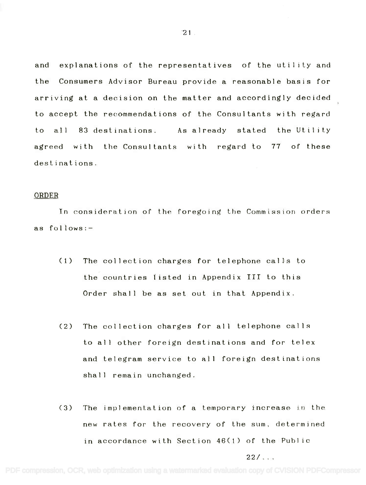and explanations of the representatives of the utility and and explanations of the representatives of the utility and the Consumers Advisor Bureau provide a reasonable basis for the Consumers Advisor Bureau provide a reasonable basis for arriving at a decision on the matter and accordingly decided arriving at a decision on the matter and accordingly decided to accept the recommendations of the Consultants with regard to accept the recommendations of the Consultants with regard to all 83 destinations. As already stated the Utility agreed with the Consultants with regard to 77 of these agreed with the Consultants with regard to 77 of these destinations. destinations.

#### ORDER

Tn consideration of the foregoing the Commission orders In consideration of the foregoing the Commission orders as follows:- as follows:-

- (1) The collection charges for telephone calls to (1) The collection charges for telephone calls to the countries listed in Appendix III to this the countries listed in Appendix III to this Order shall be as set out in that Appendix. Order shall be as set out in that Appendix.
- (2) The collection charges for all telephone calls (2) The collection charges for all telephone calls to all other foreign destinations and for telex to all other foreign destinations and for telex and telegram service to all foreign destinations and telegram service to all foreign destinations shall remain unchanged. shall remain unchanged.
- (3) The implementation of a temporary increase in the (3) The implementation of a temporary increase in the new rates for the recovery of the sum, determined new rates for the recovery of the sum, determined in accordance with Section 46(1) of the Public in accordance with Section 46(1) of the Pub1 ic

22/... 22/ ...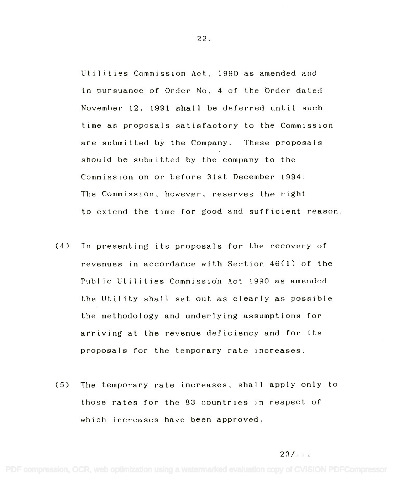Utilities Commission Act, 1990 as amended and Utilities Commission Act, 1990 as amended and in pursuance of Order No. 4 of the Order dated in pursuance of Order No.4 of the Order dated November 12, 1991 shall be deferred until such November 12,1991 shall be deferred until such time as proposals satisfactory to the Commission time as proposals satisfactory to the Commission are submitted by the Company. These proposals are submitted by the Company. These proposals should be submitted by the company to the should be submitted by the company to the Commission on or before 31st December 1994. Commission on or before 31st December 1994. The Commission, however, reserves the right The Commission, however, reserves the right to extend the time for good and sufficient reason. to extend the time for good and sufficient reason.

- (4) In presenting its proposals for the recovery of (4) In presenting its proposals for the recovery of revenues in accordance with Section 46(1) of the revenues in accordance with Section 46(1) of the Public Utilities Commission Act 1990 as amended the Utility shall set out as clearly as possible the Utility shall set out as clearly as possible the methodology and underlying assumptions for the methodology and underlying assumptions for arriving at the revenue deficiency and for its arriving at the revenue deficiency and for its proposals for the temporary rate increases. proposals for the temporary rate increases.
- (5) The temporary rate increases, shall apply only to (5) The temporary rate increases, shall apply only to those rates for the 83 countries in respect of those rates for the 83 countries in respect of which increases have been approved. which increases have been approved.

# $23/1.1$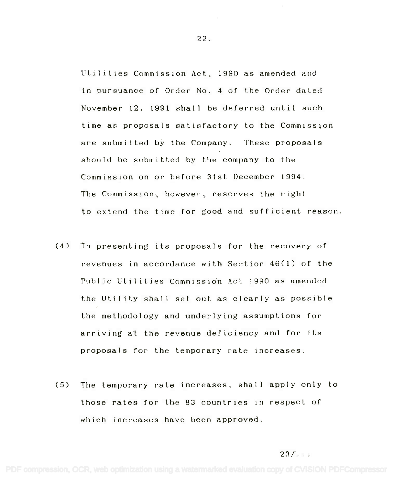Utilities Commission Act, 1990 as amended and utilities Commission Act, 1990 as amended and in pursuance of Order No. 4 of the Order dated in pursuance of Order No.4 of the Order dated November 12, 1991 shall be deferred until such November 12,1991 shall be deferred until such time as proposals satisfactory to the Commission time as proposals satisfactory to the Commission are submitted by the Company. These proposals are submitted by the Company. These proposals should be submitted by the company to the should be submitted by the company to the Commission on or before 31st December 1994. Commission on or before 31st December 1994. The Commission, however, reserves the right The Commission, however, reserves the right to extend the time for good and sufficient reason. to extend the time for good and sufficient reason.

- (4) In presenting its proposals for the recovery of (4) In presenting its proposals for the recovery of revenues in accordance with Section 46(1) of the revenues in accordance with Section 46(1) of the Public Utilities Commission Act 1990 as amended the Utility shall set out as clearly as possible the Utility shall set out as clearly as possible the methodology and underlying assumptions for the methodology and underlying assumptions for arriving at the revenue deficiency and for its arriving at the revenue deficiency and for its proposals for the temporary rate increases. proposals for the temporary rate increases.
- (5) The temporary rate increases, shall apply only to (5) The temporary rate increases, shall apply only to those rates for the 83 countries in respect of those rates for the 83 countries in respect of which increases have been approved. which increases have been approved.

# $23/1.1$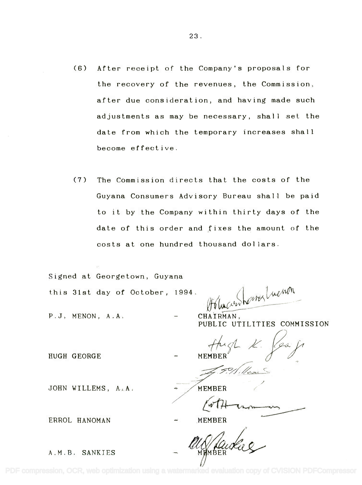- (6) After receipt of the Company's proposals for the recovery of the revenues, the Commission, after due consideration, and having made such adjustments as may be necessary, shall set the date from which the temporary increases shall become effective.
- (7) The Commission directs that the costs of the Guyana Consumers Advisory Bureau shall be paid to it by the Company within thirty days of the date of this order and fixes the amount of the costs at one hundred thousand dollars.

Signed at Georgetown, Guyana

this 31st day of October, 1994.

 $1994.$  *and heno*n *PfI~-*

P.J. MENON, A.A.

HUGH GEORGE

CHAIRMAN, **CHAIRMAN,** PUBLIC UTILITIES COMMISSION **PUBLIC UTILITIES COMMISSION**

MEMBER $\sqrt{}$ thigh K. Per 8 **- MEMBER** *r-;/*

MEMBER<br>ANDER<br>- NEWBER

JOHN WILLEMS, A.A.

MEMBER */ &-rn-v~*

MEMBER **MEMBER**

A.M.B. SANKIES

ERROL HANOMAN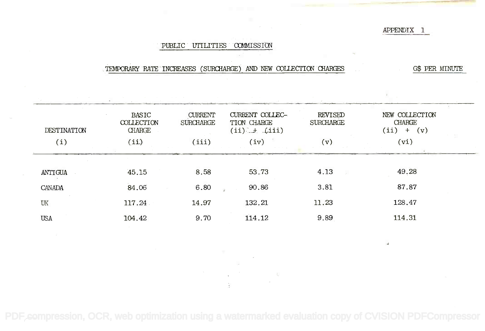# APPENDIX 1

# PUBLIC UTILITIES COMMISSION

#### .TEMPORARY RATE INCREASES (SURCHARGE) AND NEW COLLECTION CHARGES GES PER MINUTE

| DESTINATION | <b>BASIC</b><br>COLLECTION<br>CHARGE | <b>CURRENT</b><br><b>SURCHARGE</b> | CURRENT COLLEC-<br>TION CHARGE<br>$(ii)$ $\pm$ $(iii)$ | <b>REVISED</b><br><b>SURCHARGE</b> | NEW COLLECTION<br><b>CHARGE</b><br>(ii)<br>(v)<br>$+$ |  |
|-------------|--------------------------------------|------------------------------------|--------------------------------------------------------|------------------------------------|-------------------------------------------------------|--|
| (i)         | (iii)                                | (iii)                              | (iv)                                                   | (v)                                | (vi)                                                  |  |
|             |                                      |                                    |                                                        |                                    |                                                       |  |
| ANTIGUA     | 45.15                                | 8.58                               | 53.73                                                  | 4.13                               | 49.28                                                 |  |
| CANADA      | 84.06                                | 6.80                               | 90.86                                                  | 3.81                               | 87.87                                                 |  |
| UK          | 117.24                               | 14.97                              | 132.21                                                 | 11.23                              | 128.47                                                |  |
| <b>USA</b>  | 104.42                               | 9.70                               | 114.12                                                 | 9.89                               | 114.31                                                |  |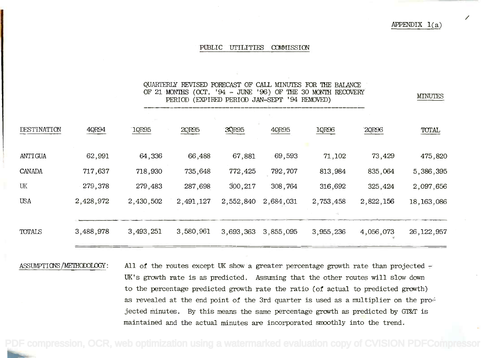# $APPENDIX 1(a)$

MINUTES

#### PUBLIC UTILITIES COMMISSION

# QUARTERLY REVISED FORECAST OF CALL MINUTES FOR THE BALANCE OF 21 MONTHS (OCT. '94 - JUNE '96) OF THE 30 MONTH RECOVERY PERIOD (EXPIRED PERIOD JAN-SEPT '94 REMOVED) PERIOD (EXPIRED PERIOD JAN-sEPT '94 REMOVED)

| DESTINATION | 4QR94     | 1QR95     | 2QR95     | 3QR95     | 40R95     | 1QR96     | 2QR96     | TOTAL        |  |
|-------------|-----------|-----------|-----------|-----------|-----------|-----------|-----------|--------------|--|
| ANTIGUA     | 62,991    | 64,336    | 66,488    | 67,881    | 69,593    | 71,102    | 73,429    | 475,820      |  |
| CANADA      | 717,637   | 718,930   | 735,648   | 772,425   | 792,707   | 813,984   | 835,064   | 5,386,395    |  |
| UK          | 279,378   | 279,483   | 287,698   | 300,217   | 308,764   | 316,692   | 325,424   | 2,097,656    |  |
| <b>USA</b>  | 2,428,972 | 2,430,502 | 2,491,127 | 2,552,840 | 2,684,031 | 2,753,458 | 2,822,156 | 18, 163, 086 |  |
|             |           |           |           |           |           |           |           |              |  |
| TOTALS      | 3,488,978 | 3,493,251 | 3,580,961 | 3,693,363 | 3,855,095 | 3,955,236 | 4,056,073 | 26, 122, 957 |  |

ASSUMPTIONS/METHODOLOGY: All of the routes except UK show a greater percentage growth rate than projected -UK's growth rate is as predicted. Assuming that the other routes will slow down UK's growth rate is as predicted. Assuning that the other routes will slow down to the percentage predicted growth rate the ratio (of actual to predicted growth) to the percentage predicted growth rate the ratio *(of* actual to predicted growth) as revealed at the end point of the 3rd quarter is used as a multiplier on the pro $\div$ jected minutes. By this means the same percentage growth as predicted by GT&T is maintained and the actual minutes are incorporated smoothly into the trend. maintained and the actual minutes are incorporated smoothly into the trend.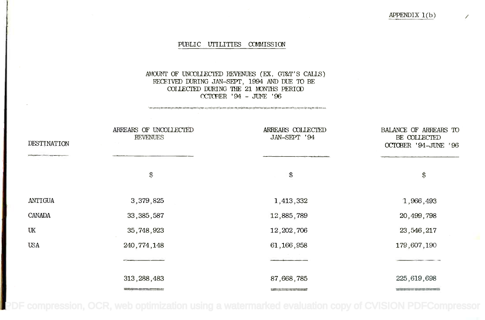# PUBLIC UTILITIES COMMISSION

# AMOUNT OF UNCOLLECTED REVENUES (EX . GT&T ' S CALLS ) AMaJl'IT OF UNCDUEClED *REVENUES* (EX. G'I&TIS CALlS) RECEIVED DURING JAN-SEPT, 1994 AND DUE TO BE COLLECTED DURING THE 21 MONTHS PERIOD (=PER ' 94 - JUNE 96 ccrcBER '94 - JUNE '96

| DESTINATION | ARREARS OF UNCOLLECTED<br><b>REVENUES</b> | ARREARS COLLECTED<br>JAN-SEPT '94 | BALANCE OF ARREARS TO<br>BE COLLECTED<br>OCTOBER '94-JUNE '96 |
|-------------|-------------------------------------------|-----------------------------------|---------------------------------------------------------------|
|             | \$                                        | $\mathbb{S}$                      | \$                                                            |
| ANTIGUA     | 3,379,825                                 | 1,413,332                         | 1,966,493                                                     |
| CANADA      | 33, 385, 587                              | 12,885,789                        | 20,499,798                                                    |
| UK          | 35,748,923                                | 12, 202, 706                      | 23, 546, 217                                                  |
| <b>USA</b>  | 240, 774, 148                             | 61,166,958                        | 179,607,190                                                   |
|             |                                           |                                   |                                                               |
|             | 313, 288, 483                             | 87,668,785                        | 225,619,698                                                   |
|             |                                           | ----------                        |                                                               |

[PDF compression, OCR, web optimization using a watermarked evaluation copy of CVISION PDFCompressor](http://www.cvisiontech.com)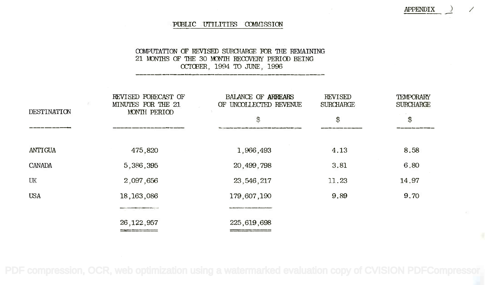## PUBLIC UTILITIES COMMISSION

**APPENDIX** 

# COMPUTATION OF REVISED SURCHARGE FOR THE REMAINING 21 MONTHS OF THE 30 MONTH RECOVERY PERIOD BEING OCTOBER, 1994 PO JUNE, 1996 ocrCBER, 1994 TO JUNE, 1996

| REVISED FORECAST OF<br>MINUTES FOR THE 21 | <b>BALANCE OF ARREARS</b><br>OF UNCOLLECTED REVENUE | <b>REVISED</b><br><b>SURCHARGE</b> | TEMPORARY<br><b>SURCHARGE</b> |  |
|-------------------------------------------|-----------------------------------------------------|------------------------------------|-------------------------------|--|
|                                           | $\mathfrak{S}$                                      | \$                                 | \$                            |  |
|                                           |                                                     |                                    |                               |  |
| 475,820                                   | 1,966,493                                           | 4.13                               | 8.58                          |  |
| 5,386,395                                 | 20,499,798                                          | 3.81                               | 6,80                          |  |
| 2,097,656                                 | 23, 546, 217                                        | 11.23                              | 14.97                         |  |
| 18, 163, 086                              | 179,607,190                                         | 9.89                               | 9,70                          |  |
|                                           |                                                     |                                    |                               |  |
| 26, 122, 957                              | 225,619,698                                         |                                    |                               |  |
|                                           | MONTH PERIOD<br>www.www.com                         |                                    |                               |  |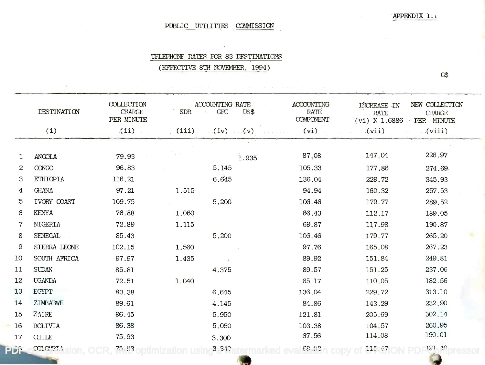# PUBLIC UTILITIES COMMISSION

# TFLEPHONE RATES FOR 83 DFSTINATIONS

(EFFECTIVE 8TH NOVEMBER, 1994)

G\$

|                | DESTINATION    | COLLECTION<br><b>CFARGE</b><br>PER MINUTE | <b>SDR</b> | ACCOUNTING RATE<br><b>GFC</b> | US\$  | <b>ACCOUNTING</b><br><b>RATE</b><br><b>COMPONENT</b> | INCREASE IN<br><b>RATE</b><br>$(vi) \times 1.6886$ | NEW COLLECTION<br>CHARGE.<br>PER MINUTE<br>$\sim$ |  |
|----------------|----------------|-------------------------------------------|------------|-------------------------------|-------|------------------------------------------------------|----------------------------------------------------|---------------------------------------------------|--|
|                | (i)            | (iii)                                     | (iii)      | $(v) \cup (v)$                |       | (vi)                                                 | (vii)                                              | (viii)                                            |  |
|                |                |                                           |            |                               |       |                                                      | P.                                                 |                                                   |  |
| L              | <b>ANGOLA</b>  | 79.93                                     |            |                               | 1.935 | 87,08                                                | 147.04                                             | 226.97                                            |  |
| $\overline{c}$ | <b>CONGO</b>   | 96.83                                     |            | 5.145                         |       | 105.33                                               | 177.86                                             | 274.69                                            |  |
| 3              | ETHIOPIA       | 116.21                                    |            | 6.645                         |       | 136.04                                               | 229.72                                             | 345.93                                            |  |
| 4              | <b>GHANA</b>   | 97.21                                     | 1.515      |                               |       | 94.94                                                | 160.32                                             | 257.53                                            |  |
| $\overline{5}$ | IVORY COAST    | 109.75                                    |            | 5.200                         |       | 106.46                                               | 179.77                                             | 289.52                                            |  |
| 6              | <b>KENYA</b>   | 76.88                                     | 1.060      |                               |       | 66.43                                                | 112.17                                             | 189.05                                            |  |
| $\overline{7}$ | NIGERIA        | 72.89                                     | 1.115      |                               |       | 69.87                                                | 117.98                                             | 190.87                                            |  |
| 8              | <b>SENEGAL</b> | 85.43                                     |            | 5.200                         |       | 106.46                                               | 179.77                                             | 265.20                                            |  |
| 9              | SIERRA LEONE   | 102.15                                    | 1.560      |                               |       | 97.76                                                | 165.08                                             | 267.23                                            |  |
| 10             | SOUTH AFRICA   | 97.97                                     | 1.435      |                               |       | 89.92                                                | 151.84                                             | 249.81                                            |  |
| 11             | <b>SUDAN</b>   | 85.81                                     |            | 4.375                         |       | 89.57                                                | 151.25                                             | 237.06                                            |  |
| 12             | <b>UGANDA</b>  | 72.51                                     | 1.040      |                               |       | 65.17                                                | 110.05                                             | 182.56                                            |  |
| 13             | EGYPT          | 83.38                                     |            | 6.645                         |       | 136.04                                               | 229.72                                             | 313.10                                            |  |
| 14             | ZIMBABWE       | 89.61                                     |            | 4.145                         |       | 84.86                                                | 143.29                                             | 232.90                                            |  |
| 15             | ZAIRE          | 96.45                                     |            | 5.950                         |       | 121.81                                               | 205.69                                             | 302.14                                            |  |
| 16             | <b>BOLIVIA</b> | 86.38                                     |            | 5.050                         |       | 103.38                                               | 104.57                                             | 260.95                                            |  |
| 17             | <b>CHILE</b>   | 75.93                                     |            | 3.300                         |       | 67.56                                                | 114.08                                             | 190.01                                            |  |
| PDF            | COLOVELA       | 75.93                                     |            | 3.340                         |       | 68.39                                                | 115.47                                             | 131.40                                            |  |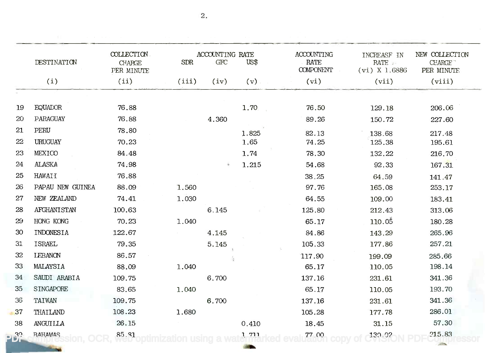|             | DESTINATION        | COLLECTION.<br><b>CHARGE</b><br>PER MINUTE | <b>SDR</b> | ACCOUNTING RATE<br><b>GFC</b> | US\$  | <b>ACCOUNTING</b><br>RATE<br><b>COMPONENT</b> | INCREASF IN<br><b>RATE</b><br>$(vi)$ X 1.6886 | NEW COLLECTION<br>CHARGE <sup>"</sup><br>PER MINUTE |
|-------------|--------------------|--------------------------------------------|------------|-------------------------------|-------|-----------------------------------------------|-----------------------------------------------|-----------------------------------------------------|
|             | (i)                | (ii)                                       | (iii)      | (iv)                          | (v)   | (vi)                                          | (vii)                                         | (viii)                                              |
|             |                    |                                            |            |                               |       |                                               |                                               |                                                     |
| 19          | <b>EQUADOR</b>     | 76.88                                      |            |                               | 1.70  | 76.50                                         | 129.18                                        | 206.06                                              |
| 20          | PARAGUAY           | 76.88                                      |            | 4.360                         |       | 89.26                                         | 150.72                                        | 227.60                                              |
| 21          | PERU               | 78.80                                      |            |                               | 1.825 | 82.13                                         | 138.68                                        | 217.48                                              |
| 22          | URUGUAY            | 70.23                                      |            |                               | 1.65  | 74.25                                         | 125.38                                        | 195.61                                              |
| 23          | MEXICO             | 84.48                                      |            |                               | 1.74  | 78.30                                         | 132.22                                        | 216.70                                              |
| 24          | <b>ALASKA</b>      | 74.98                                      |            | $\ell$ ).                     | 1.215 | 54.68                                         | 92.33                                         | 167.31                                              |
| 25          | HAWAII             | 76.88                                      |            |                               |       | 38.25                                         | 64.59                                         | 141.47                                              |
| 26          | PAPAU NEW GUINEA   | 88.09                                      | 1.560      |                               |       | 97.76                                         | 165.08                                        | 253.17                                              |
| 27          | NEW ZEALAND        | 74.41                                      | 1.030      |                               |       | 64.55                                         | 109.00                                        | 183.41                                              |
| 28          | <b>AFGHANISTAN</b> | 100.63                                     |            | 6.145                         |       | 125.80                                        | 212.43                                        | 313.06                                              |
| 29          | HONG KONG          | 70.23                                      | 1.040      |                               |       | 65.17                                         | 110.05                                        | 180.28                                              |
| 30          | INDONESIA          | 122.67                                     |            | 4.145                         |       | 84.86                                         | 143.29                                        | 265.96                                              |
| 31          | ISRAEL             | 79.35                                      |            | 5.145                         |       | 105.33                                        | 177.86                                        | 257.21                                              |
| 32          | <b>LEBANON</b>     | 86.57                                      |            |                               |       | 117.90                                        | 199.09                                        | 285.66                                              |
| 33          | MALAYSIA           | 88.09                                      | 1.040      |                               |       | 65.17                                         | 110.05                                        | 198.14                                              |
| 34          | SAUDI ARABIA       | 109.75                                     |            | 6.700                         |       | 137.16                                        | 231.61                                        | 341.36                                              |
| 35          | SINGAPORE          | 83.65                                      | 1.040      |                               |       | 65.17                                         | 110.05                                        | 193.70                                              |
| 36          | TAIWAN             | 109.75                                     |            | 6.700                         |       | 137.16                                        | 231.61                                        | 341.36                                              |
| 37          | THAILAND           | 108.23                                     | 1.680      |                               |       | 105.28                                        | 177.78                                        | 286.01                                              |
| 38          | ANGUILLA           | 26.15                                      |            |                               | 0.410 | 18.45                                         | 31.15                                         | 57.30                                               |
| <b>2632</b> | <b>BAHAMAS</b>     | 85.91                                      |            |                               | 1.711 | 77.00                                         | 130.0?                                        | 215.83                                              |

2.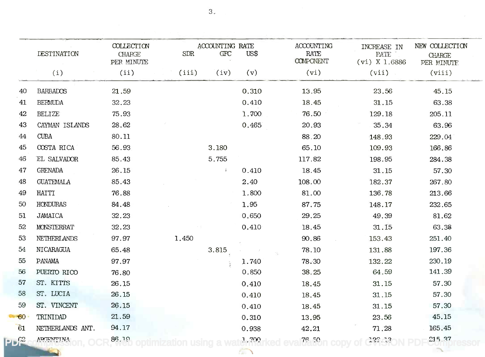|    | <b>DESTINATION</b> | <b>COLLECTION</b><br><b>CHARGE</b><br>PER MINUTE | SDR   | ACCOUNTING RATE<br><b>GFC</b> | US\$  | <b>ACCOUNTING</b><br>RATE<br><b>COMPONENT</b> | INCREASE IN<br>PATE<br>$(vi)$ X 1.6886 | NEW COLLECTION<br><b>CHARGE</b><br>PER MINUTE |
|----|--------------------|--------------------------------------------------|-------|-------------------------------|-------|-----------------------------------------------|----------------------------------------|-----------------------------------------------|
|    | (i)                | (ii)                                             | (iii) | (iv)                          | (v)   | (vi)                                          | (vii)                                  | (viii)                                        |
| 40 | <b>BARBADOS</b>    | 21.59                                            |       |                               | 0.310 | 13.95                                         | 23.56                                  | 45.15                                         |
| 41 | <b>BERMUDA</b>     | 32.23                                            |       |                               | 0.410 | 18.45                                         | 31.15                                  | 63.38                                         |
| 42 | <b>BELIZE</b>      | 75.93                                            |       |                               | 1.700 | 76.50                                         | 129.18                                 | 205.11                                        |
| 43 | CAYMAN ISLANDS     | 28.62                                            |       |                               | 0.465 | 20.93                                         | 35.34                                  | 63.96                                         |
| 44 | <b>CUBA</b>        | 80.11                                            |       |                               |       | 88.20                                         | 148.93                                 | 229.04                                        |
| 45 | COSTA RICA         | 56.93                                            |       | 3.180                         |       | 65.10                                         | 109.93                                 | 166.86                                        |
| 46 | EL SALVADOR        | 85.43                                            |       | 5.755                         |       | 117.82                                        | 198.95                                 | 284.38                                        |
| 47 | <b>GRENADA</b>     | 26.15                                            |       | Ť.                            | 0.410 | 18.45                                         | 31.15                                  | 57.30                                         |
| 48 | <b>GUATEMALA</b>   | 85.43                                            |       |                               | 2.40  | 108.00                                        | 182.37                                 | 267.80                                        |
| 49 | <b>HAITI</b>       | 76.88                                            |       |                               | 1.800 | 81.00                                         | 136.78                                 | 213.66                                        |
| 50 | HONDURAS           | 84.48                                            |       |                               | 1.95  | 87.75                                         | 148.17                                 | 232.65                                        |
| 51 | <b>JAMAICA</b>     | 32.23                                            |       |                               | 0.650 | 29.25                                         | 49.39                                  | 81.62                                         |
| 52 | <b>MONSTERRAT</b>  | 32.23                                            |       |                               | 0.410 | 18.45                                         | 31.15                                  | 63.38                                         |
| 53 | NETHERLANDS        | 97.97                                            | 1.450 |                               |       | 90.86                                         | 153.43                                 | 251.40                                        |
| 54 | NICARAGUA          | 65.48                                            |       | 3.815                         |       | 78.10                                         | 131.88                                 | 197.36                                        |
| 55 | <b>PANAMA</b>      | 97.97                                            |       |                               | 1.740 | 78.30                                         | 132.22                                 | 230.19                                        |
| 56 | PUERTO RICO        | 76.80                                            |       |                               | 0.850 | 38.25                                         | 64.59                                  | 141.39                                        |
| 57 | ST. KITTS          | 26.15                                            |       |                               | 0.410 | 18.45                                         | 31.15                                  | 57.30                                         |
| 58 | ST. LUCIA          | 26.15                                            |       |                               | 0.410 | 18.45                                         | 31.15                                  | 57.30                                         |
| 59 | ST. VINCENT        | 26.15                                            |       |                               | 0.410 | 18.45                                         | 31.15                                  | 57.30                                         |
| 60 | TRINIDAD           | 21.59                                            |       |                               | 0.310 | 13.95                                         | 23.56                                  | 45.15                                         |
| 61 | NETHERLANDS ANT.   | 94.17                                            |       |                               | 0.938 | 42.21                                         | 71.28                                  | 165.45                                        |
| C2 | ARCEMTINA          | 86.19                                            |       |                               | 1.700 | 76.50                                         | 122, 33                                | 215 37                                        |